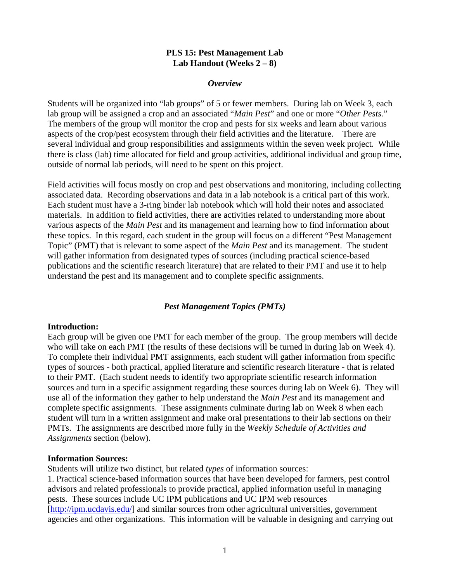#### **PLS 15: Pest Management Lab Lab Handout (Weeks 2 – 8)**

#### *Overview*

Students will be organized into "lab groups" of 5 or fewer members. During lab on Week 3, each lab group will be assigned a crop and an associated "*Main Pest*" and one or more "*Other Pests.*" The members of the group will monitor the crop and pests for six weeks and learn about various aspects of the crop/pest ecosystem through their field activities and the literature. There are several individual and group responsibilities and assignments within the seven week project. While there is class (lab) time allocated for field and group activities, additional individual and group time, outside of normal lab periods, will need to be spent on this project.

Field activities will focus mostly on crop and pest observations and monitoring, including collecting associated data. Recording observations and data in a lab notebook is a critical part of this work. Each student must have a 3-ring binder lab notebook which will hold their notes and associated materials. In addition to field activities, there are activities related to understanding more about various aspects of the *Main Pest* and its management and learning how to find information about these topics. In this regard, each student in the group will focus on a different "Pest Management Topic" (PMT) that is relevant to some aspect of the *Main Pest* and its management. The student will gather information from designated types of sources (including practical science-based publications and the scientific research literature) that are related to their PMT and use it to help understand the pest and its management and to complete specific assignments.

#### *Pest Management Topics (PMTs)*

#### **Introduction:**

Each group will be given one PMT for each member of the group. The group members will decide who will take on each PMT (the results of these decisions will be turned in during lab on Week 4). To complete their individual PMT assignments, each student will gather information from specific types of sources - both practical, applied literature and scientific research literature - that is related to their PMT. (Each student needs to identify two appropriate scientific research information sources and turn in a specific assignment regarding these sources during lab on Week 6). They will use all of the information they gather to help understand the *Main Pest* and its management and complete specific assignments. These assignments culminate during lab on Week 8 when each student will turn in a written assignment and make oral presentations to their lab sections on their PMTs. The assignments are described more fully in the *Weekly Schedule of Activities and Assignments* section (below).

#### **Information Sources:**

Students will utilize two distinct, but related *types* of information sources:

1. Practical science-based information sources that have been developed for farmers, pest control advisors and related professionals to provide practical, applied information useful in managing pests. These sources include UC IPM publications and UC IPM web resources [[http://ipm.ucdavis.edu/\]](http://ipm.ucdavis.edu/) and similar sources from other agricultural universities, government agencies and other organizations. This information will be valuable in designing and carrying out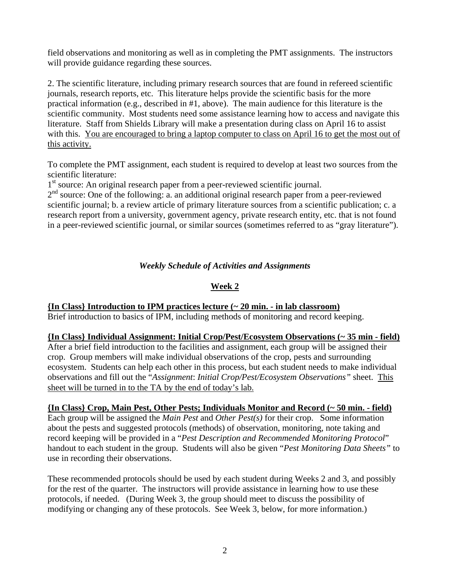field observations and monitoring as well as in completing the PMT assignments. The instructors will provide guidance regarding these sources.

2. The scientific literature, including primary research sources that are found in refereed scientific journals, research reports, etc. This literature helps provide the scientific basis for the more practical information (e.g., described in #1, above). The main audience for this literature is the scientific community. Most students need some assistance learning how to access and navigate this literature. Staff from Shields Library will make a presentation during class on April 16 to assist with this. You are encouraged to bring a laptop computer to class on April 16 to get the most out of this activity.

To complete the PMT assignment, each student is required to develop at least two sources from the scientific literature:

1<sup>st</sup> source: An original research paper from a peer-reviewed scientific journal.

 $2<sup>nd</sup>$  source: One of the following: a. an additional original research paper from a peer-reviewed scientific journal; b. a review article of primary literature sources from a scientific publication; c. a research report from a university, government agency, private research entity, etc. that is not found in a peer-reviewed scientific journal, or similar sources (sometimes referred to as "gray literature").

### *Weekly Schedule of Activities and Assignments*

### **Week 2**

## **{In Class} Introduction to IPM practices lecture (~ 20 min. - in lab classroom)**

Brief introduction to basics of IPM, including methods of monitoring and record keeping.

### **{In Class} Individual Assignment: Initial Crop/Pest/Ecosystem Observations (~ 35 min - field)**

After a brief field introduction to the facilities and assignment, each group will be assigned their crop. Group members will make individual observations of the crop, pests and surrounding ecosystem. Students can help each other in this process, but each student needs to make individual observations and fill out the "*Assignment*: *Initial Crop/Pest/Ecosystem Observations"* sheet. This sheet will be turned in to the TA by the end of today's lab.

### **{In Class} Crop, Main Pest, Other Pests; Individuals Monitor and Record (~ 50 min. - field)**

Each group will be assigned the *Main Pest* and *Other Pest(s)* for their crop. Some information about the pests and suggested protocols (methods) of observation, monitoring, note taking and record keeping will be provided in a "*Pest Description and Recommended Monitoring Protocol*" handout to each student in the group. Students will also be given "*Pest Monitoring Data Sheets"* to use in recording their observations.

These recommended protocols should be used by each student during Weeks 2 and 3, and possibly for the rest of the quarter. The instructors will provide assistance in learning how to use these protocols, if needed. (During Week 3, the group should meet to discuss the possibility of modifying or changing any of these protocols. See Week 3, below, for more information.)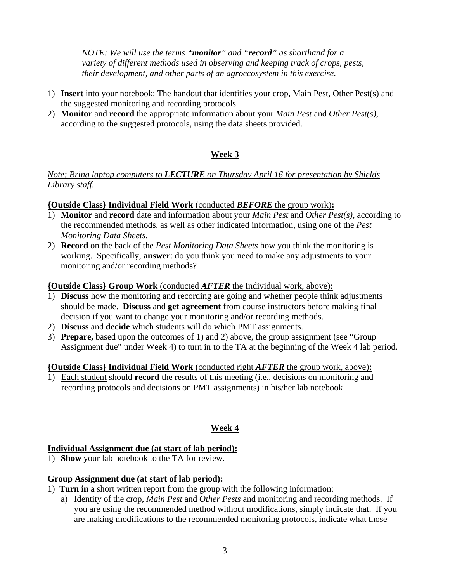*NOTE: We will use the terms "monitor" and "record" as shorthand for a variety of different methods used in observing and keeping track of crops, pests, their development, and other parts of an agroecosystem in this exercise.* 

- 1) **Insert** into your notebook: The handout that identifies your crop, Main Pest, Other Pest(s) and the suggested monitoring and recording protocols.
- 2) **Monitor** and **record** the appropriate information about your *Main Pest* and *Other Pest(s)*, according to the suggested protocols, using the data sheets provided.

# **Week 3**

### *Note: Bring laptop computers to LECTURE on Thursday April 16 for presentation by Shields Library staff.*

### **{Outside Class} Individual Field Work** (conducted *BEFORE* the group work)**:**

- 1) **Monitor** and **record** date and information about your *Main Pest* and *Other Pest(s)*, according to the recommended methods, as well as other indicated information, using one of the *Pest Monitoring Data Sheets*.
- 2) **Record** on the back of the *Pest Monitoring Data Sheets* how you think the monitoring is working. Specifically, **answer**: do you think you need to make any adjustments to your monitoring and/or recording methods?

#### **{Outside Class} Group Work** (conducted *AFTER* the Individual work, above)**:**

- 1) **Discuss** how the monitoring and recording are going and whether people think adjustments should be made. **Discuss** and **get agreement** from course instructors before making final decision if you want to change your monitoring and/or recording methods.
- 2) **Discuss** and **decide** which students will do which PMT assignments.
- 3) **Prepare,** based upon the outcomes of 1) and 2) above, the group assignment (see "Group Assignment due" under Week 4) to turn in to the TA at the beginning of the Week 4 lab period.

### **{Outside Class} Individual Field Work** (conducted right *AFTER* the group work, above)**:**

1) Each student should **record** the results of this meeting (i.e., decisions on monitoring and recording protocols and decisions on PMT assignments) in his/her lab notebook.

## **Week 4**

### **Individual Assignment due (at start of lab period):**

1) **Show** your lab notebook to the TA for review.

### **Group Assignment due (at start of lab period):**

- 1) **Turn in** a short written report from the group with the following information:
	- a) Identity of the crop, *Main Pest* and *Other Pests* and monitoring and recording methods. If you are using the recommended method without modifications, simply indicate that. If you are making modifications to the recommended monitoring protocols, indicate what those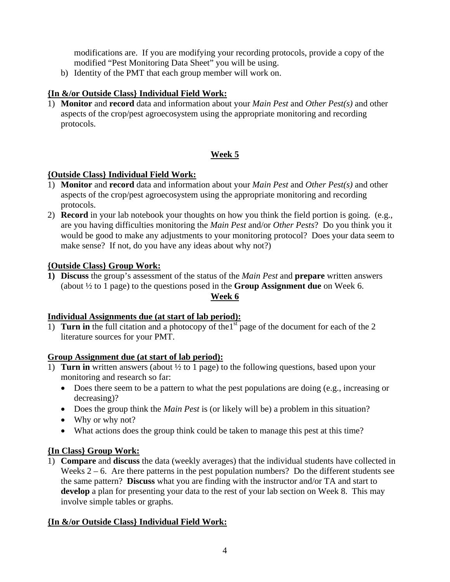modifications are. If you are modifying your recording protocols, provide a copy of the modified "Pest Monitoring Data Sheet" you will be using.

b) Identity of the PMT that each group member will work on.

# **{In &/or Outside Class} Individual Field Work:**

1) **Monitor** and **record** data and information about your *Main Pest* and *Other Pest(s)* and other aspects of the crop/pest agroecosystem using the appropriate monitoring and recording protocols.

## **Week 5**

## **{Outside Class} Individual Field Work:**

- 1) **Monitor** and **record** data and information about your *Main Pest* and *Other Pest(s)* and other aspects of the crop/pest agroecosystem using the appropriate monitoring and recording protocols.
- 2) **Record** in your lab notebook your thoughts on how you think the field portion is going. (e.g., are you having difficulties monitoring the *Main Pest* and/or *Other Pests*? Do you think you it would be good to make any adjustments to your monitoring protocol? Does your data seem to make sense? If not, do you have any ideas about why not?)

### **{Outside Class} Group Work:**

**1) Discuss** the group's assessment of the status of the *Main Pest* and **prepare** written answers (about ½ to 1 page) to the questions posed in the **Group Assignment due** on Week 6. **Week 6**

### **Individual Assignments due (at start of lab period):**

1) **Turn in** the full citation and a photocopy of the1st page of the document for each of the 2 literature sources for your PMT.

### **Group Assignment due (at start of lab period):**

- 1) **Turn in** written answers (about ½ to 1 page) to the following questions, based upon your monitoring and research so far:
	- Does there seem to be a pattern to what the pest populations are doing (e.g., increasing or decreasing)?
	- Does the group think the *Main Pest* is (or likely will be) a problem in this situation?
	- Why or why not?
	- What actions does the group think could be taken to manage this pest at this time?

## **{In Class} Group Work:**

1) **Compare** and **discuss** the data (weekly averages) that the individual students have collected in Weeks  $2 - 6$ . Are there patterns in the pest population numbers? Do the different students see the same pattern? **Discuss** what you are finding with the instructor and/or TA and start to **develop** a plan for presenting your data to the rest of your lab section on Week 8. This may involve simple tables or graphs.

## **{In &/or Outside Class} Individual Field Work:**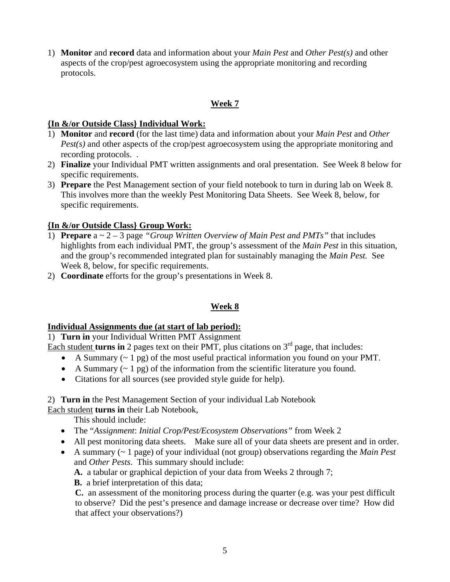1) **Monitor** and **record** data and information about your *Main Pest* and *Other Pest(s)* and other aspects of the crop/pest agroecosystem using the appropriate monitoring and recording protocols.

### **Week 7**

### **{In &/or Outside Class} Individual Work:**

- 1) **Monitor** and **record** (for the last time) data and information about your *Main Pest* and *Other Pest(s)* and other aspects of the crop/pest agroecosystem using the appropriate monitoring and recording protocols. .
- 2) **Finalize** your Individual PMT written assignments and oral presentation. See Week 8 below for specific requirements.
- 3) **Prepare** the Pest Management section of your field notebook to turn in during lab on Week 8. This involves more than the weekly Pest Monitoring Data Sheets. See Week 8, below, for specific requirements.

### **{In &/or Outside Class} Group Work:**

- 1) **Prepare** a ~ 2 3 page *"Group Written Overview of Main Pest and PMTs"* that includes highlights from each individual PMT, the group's assessment of the *Main Pest* in this situation, and the group's recommended integrated plan for sustainably managing the *Main Pest.* See Week 8, below, for specific requirements.
- 2) **Coordinate** efforts for the group's presentations in Week 8.

## **Week 8**

### **Individual Assignments due (at start of lab period):**

1) **Turn in** your Individual Written PMT Assignment

Each student **turns in** 2 pages text on their PMT, plus citations on  $3<sup>rd</sup>$  page, that includes:

- A Summary (~ 1 pg) of the most useful practical information you found on your PMT.
- A Summary  $(-1 \text{ pg})$  of the information from the scientific literature you found.
- Citations for all sources (see provided style guide for help).

### 2) **Turn in** the Pest Management Section of your individual Lab Notebook

Each student **turns in** their Lab Notebook,

This should include:

- The "*Assignment*: *Initial Crop/Pest/Ecosystem Observations"* from Week 2
- All pest monitoring data sheets. Make sure all of your data sheets are present and in order.
- A summary (~ 1 page) of your individual (not group) observations regarding the *Main Pest*  and *Other Pests*. This summary should include:

 **A.** a tabular or graphical depiction of your data from Weeks 2 through 7;

 **B.** a brief interpretation of this data;

**C.** an assessment of the monitoring process during the quarter (e.g. was your pest difficult to observe? Did the pest's presence and damage increase or decrease over time? How did that affect your observations?)